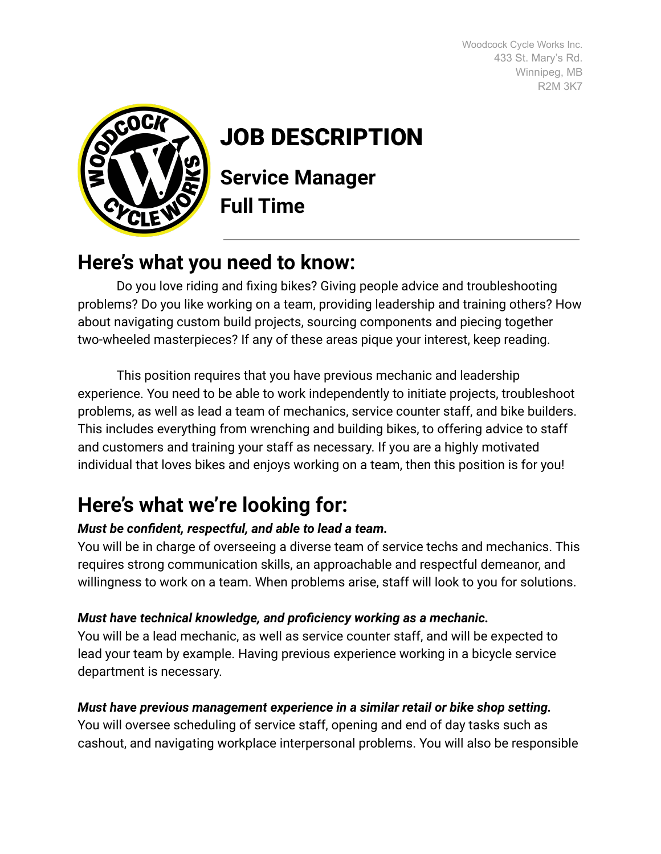Woodcock Cycle Works Inc. 433 St. Mary's Rd. Winnipeg, MB R2M 3K7



# JOB DESCRIPTION

**Service Manager Full Time**

## **Here's what you need to know:**

Do you love riding and fixing bikes? Giving people advice and troubleshooting problems? Do you like working on a team, providing leadership and training others? How about navigating custom build projects, sourcing components and piecing together two-wheeled masterpieces? If any of these areas pique your interest, keep reading.

This position requires that you have previous mechanic and leadership experience. You need to be able to work independently to initiate projects, troubleshoot problems, as well as lead a team of mechanics, service counter staff, and bike builders. This includes everything from wrenching and building bikes, to offering advice to staff and customers and training your staff as necessary. If you are a highly motivated individual that loves bikes and enjoys working on a team, then this position is for you!

# **Here's what we're looking for:**

#### *Must be confident, respectful, and able to lead a team.*

You will be in charge of overseeing a diverse team of service techs and mechanics. This requires strong communication skills, an approachable and respectful demeanor, and willingness to work on a team. When problems arise, staff will look to you for solutions.

#### *Must have technical knowledge, and proficiency working as a mechanic.*

You will be a lead mechanic, as well as service counter staff, and will be expected to lead your team by example. Having previous experience working in a bicycle service department is necessary.

#### *Must have previous management experience in a similar retail or bike shop setting.*

You will oversee scheduling of service staff, opening and end of day tasks such as cashout, and navigating workplace interpersonal problems. You will also be responsible